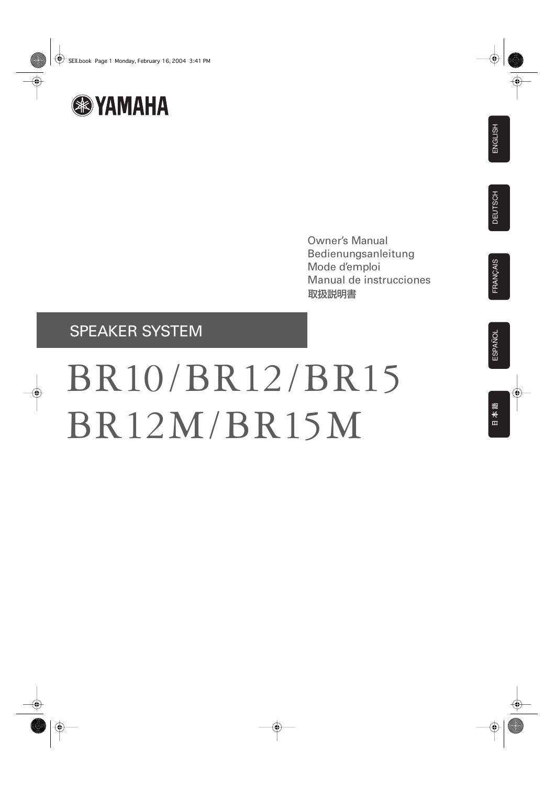

Owner's Manual Bedienungsanleitung Mode d'emploi Manual de instrucciones 取扱説明書

## SPEAKER SYSTEM

# BR10/BR12/BR15 BR12M/BR15M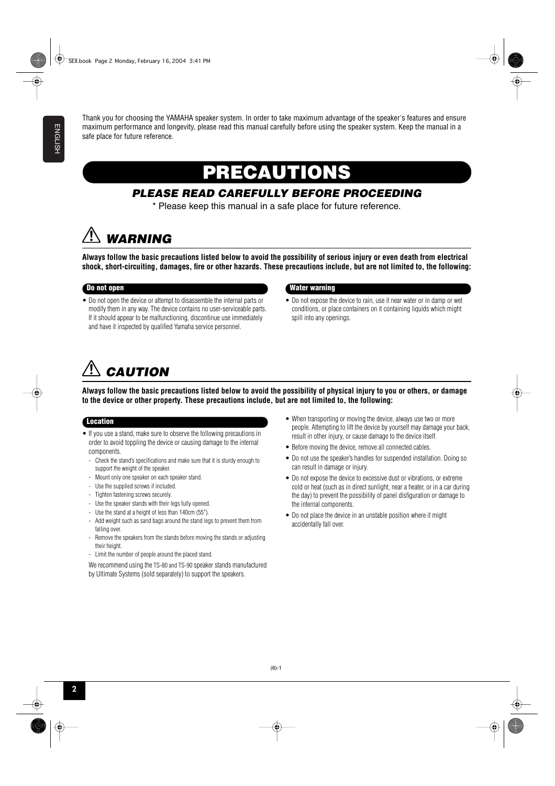Thank you for choosing the YAMAHA speaker system. In order to take maximum advantage of the speaker's features and ensure maximum performance and longevity, please read this manual carefully before using the speaker system. Keep the manual in a safe place for future reference.

## **PRECAUTIONS**

### *PLEASE READ CAREFULLY BEFORE PROCEEDING*

\* Please keep this manual in a safe place for future reference.

## *WARNING*

**Always follow the basic precautions listed below to avoid the possibility of serious injury or even death from electrical shock, short-circuiting, damages, fire or other hazards. These precautions include, but are not limited to, the following:**

• Do not open the device or attempt to disassemble the internal parts or modify them in any way. The device contains no user-serviceable parts. If it should appear to be malfunctioning, discontinue use immediately and have it inspected by qualified Yamaha service personnel.

#### **Do not open Water warning**

• Do not expose the device to rain, use it near water or in damp or wet conditions, or place containers on it containing liquids which might spill into any openings.

## *CAUTION*

**Always follow the basic precautions listed below to avoid the possibility of physical injury to you or others, or damage to the device or other property. These precautions include, but are not limited to, the following:**

#### **Location**

- If you use a stand, make sure to observe the following precautions in order to avoid toppling the device or causing damage to the internal components.
	- Check the stand's specifications and make sure that it is sturdy enough to support the weight of the speaker.
	- Mount only one speaker on each speaker stand.
	- Use the supplied screws if included.
	- Tighten fastening screws securely.
	- Use the speaker stands with their legs fully opened.
	- Use the stand at a height of less than 140cm (55").
	- Add weight such as sand bags around the stand legs to prevent them from falling over.
	- Remove the speakers from the stands before moving the stands or adjusting their height.
	- Limit the number of people around the placed stand.
	- We recommend using the TS-80 and TS-90 speaker stands manufactured by Ultimate Systems (sold separately) to support the speakers.
- When transporting or moving the device, always use two or more people. Attempting to lift the device by yourself may damage your back, result in other injury, or cause damage to the device itself.
- Before moving the device, remove all connected cables.
- Do not use the speaker's handles for suspended installation. Doing so can result in damage or injury.
- Do not expose the device to excessive dust or vibrations, or extreme cold or heat (such as in direct sunlight, near a heater, or in a car during the day) to prevent the possibility of panel disfiguration or damage to the internal components.
- Do not place the device in an unstable position where it might accidentally fall over.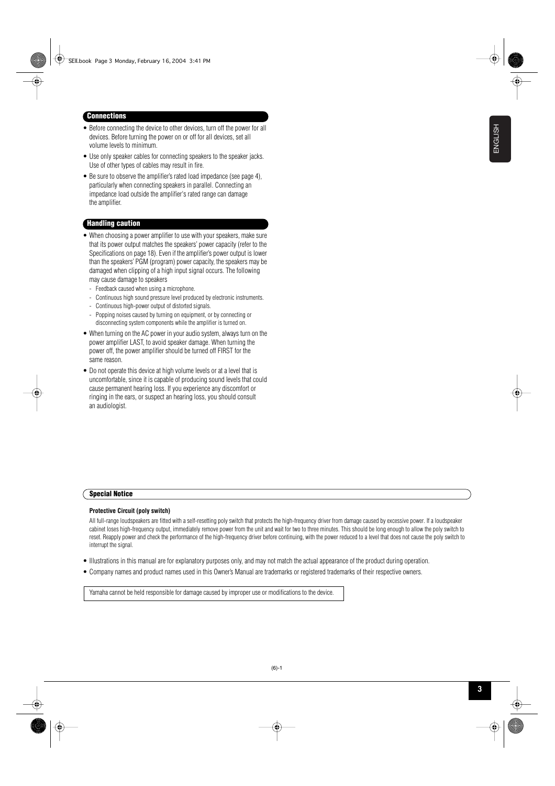#### **Connections**

- Before connecting the device to other devices, turn off the power for all devices. Before turning the power on or off for all devices, set all volume levels to minimum.
- Use only speaker cables for connecting speakers to the speaker jacks. Use of other types of cables may result in fire.
- Be sure to observe the amplifier's rated load impedance (see page 4), particularly when connecting speakers in parallel. Connecting an impedance load outside the amplifier's rated range can damage the amplifier.

#### **Handling caution**

- When choosing a power amplifier to use with your speakers, make sure that its power output matches the speakers' power capacity (refer to the Specifications on page 18). Even if the amplifier's power output is lower than the speakers' PGM (program) power capacity, the speakers may be damaged when clipping of a high input signal occurs. The following may cause damage to speakers
	- Feedback caused when using a microphone.
- Continuous high sound pressure level produced by electronic instruments.
- Continuous high-power output of distorted signals.
- Popping noises caused by turning on equipment, or by connecting or disconnecting system components while the amplifier is turned on.
- When turning on the AC power in your audio system, always turn on the power amplifier LAST, to avoid speaker damage. When turning the power off, the power amplifier should be turned off FIRST for the same reason.
- Do not operate this device at high volume levels or at a level that is uncomfortable, since it is capable of producing sound levels that could cause permanent hearing loss. If you experience any discomfort or ringing in the ears, or suspect an hearing loss, you should consult an audiologist.

#### **Special Notice**

#### **Protective Circuit (poly switch)**

All full-range loudspeakers are fitted with a self-resetting poly switch that protects the high-frequency driver from damage caused by excessive power. If a loudspeaker cabinet loses high-frequency output, immediately remove power from the unit and wait for two to three minutes. This should be long enough to allow the poly switch to reset. Reapply power and check the performance of the high-frequency driver before continuing, with the power reduced to a level that does not cause the poly switch to interrupt the signal.

- Illustrations in this manual are for explanatory purposes only, and may not match the actual appearance of the product during operation.
- Company names and product names used in this Owner's Manual are trademarks or registered trademarks of their respective owners.

Yamaha cannot be held responsible for damage caused by improper use or modifications to the device.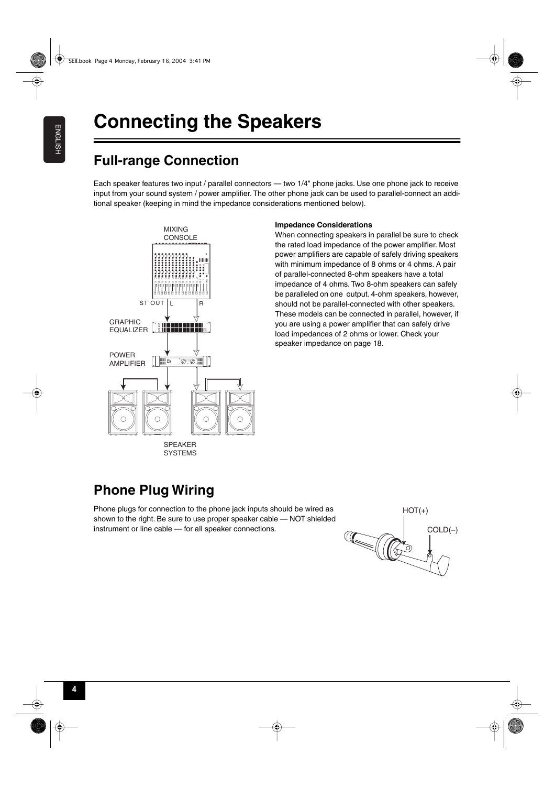## **Full-range Connection**

Each speaker features two input / parallel connectors — two 1/4" phone jacks. Use one phone jack to receive input from your sound system / power amplifier. The other phone jack can be used to parallel-connect an additional speaker (keeping in mind the impedance considerations mentioned below).



**SYSTEMS** 

#### **Impedance Considerations**

When connecting speakers in parallel be sure to check the rated load impedance of the power amplifier. Most power amplifiers are capable of safely driving speakers with minimum impedance of 8 ohms or 4 ohms. A pair of parallel-connected 8-ohm speakers have a total impedance of 4 ohms. Two 8-ohm speakers can safely be paralleled on one output. 4-ohm speakers, however, should not be parallel-connected with other speakers. These models can be connected in parallel, however, if you are using a power amplifier that can safely drive load impedances of 2 ohms or lower. Check your speaker impedance on page [18](#page-4-0).

## **Phone Plug Wiring**

Phone plugs for connection to the phone jack inputs should be wired as shown to the right. Be sure to use proper speaker cable — NOT shielded instrument or line cable — for all speaker connections.

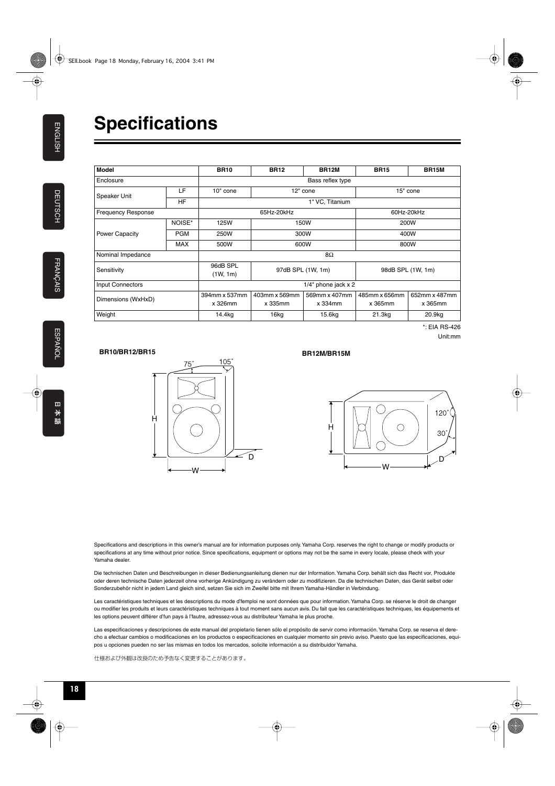<span id="page-4-0"></span>

| <b>Model</b>            |            | <b>BR10</b>              | <b>BR12</b>              | <b>BR12M</b>                  | <b>BR15</b>              | <b>BR15M</b>             |
|-------------------------|------------|--------------------------|--------------------------|-------------------------------|--------------------------|--------------------------|
| Enclosure               |            | Bass reflex type         |                          |                               |                          |                          |
| Speaker Unit            | LF         | 10" cone                 | 12" cone                 |                               | 15" cone                 |                          |
|                         | <b>HF</b>  | 1" VC, Titanium          |                          |                               |                          |                          |
| Frequency Response      |            | 65Hz-20kHz               |                          |                               | 60Hz-20kHz               |                          |
| Power Capacity          | NOISE*     | 125W                     | 150W                     |                               | 200W                     |                          |
|                         | <b>PGM</b> | 250W                     | 300W                     |                               | 400W                     |                          |
|                         | <b>MAX</b> | 500W                     | 600W                     |                               | 800W                     |                          |
| Nominal Impedance       |            | 8Ω                       |                          |                               |                          |                          |
| Sensitivity             |            | 96dB SPL<br>(1W, 1m)     | 97dB SPL (1W, 1m)        |                               | 98dB SPL (1W, 1m)        |                          |
| <b>Input Connectors</b> |            | $1/4$ " phone jack x 2   |                          |                               |                          |                          |
| Dimensions (WxHxD)      |            | 394mm x 537mm<br>x 326mm | 403mm x 569mm<br>x 335mm | 569mm x 407mm<br>$x$ 334 $mm$ | 485mm x 656mm<br>x 365mm | 652mm x 487mm<br>x 365mm |
| Weight                  |            | 14.4kg                   | 16kg                     | 15.6kg                        | 21.3kg                   | 20.9kg                   |

\*: EIA RS-426 Unit:mm

#### **BR10/BR12/BR15**



#### **BR12M/BR15M**



Specifications and descriptions in this owner's manual are for information purposes only. Yamaha Corp. reserves the right to change or modify products or specifications at any time without prior notice. Since specifications, equipment or options may not be the same in every locale, please check with your Yamaha dealer.

Die technischen Daten und Beschreibungen in dieser Bedienungsanleitung dienen nur der Information. Yamaha Corp. behält sich das Recht vor, Produkte oder deren technische Daten jederzeit ohne vorherige Ankündigung zu verändern oder zu modifizieren. Da die technischen Daten, das Gerät selbst oder Sonderzubehör nicht in jedem Land gleich sind, setzen Sie sich im Zweifel bitte mit Ihrem Yamaha-Händler in Verbindung.

Les caractéristiques techniques et les descriptions du mode d'femploi ne sont données que pour information. Yamaha Corp. se réserve le droit de changer ou modifier les produits et leurs caractéristiques techniques à tout moment sans aucun avis. Du fait que les caractéristiques techniques, les équipements et les options peuvent différer d'fun pays à l'fautre, adressez-vous au distributeur Yamaha le plus proche.

Las especificaciones y descripciones de este manual del propietario tienen sólo el propósito de servir como información. Yamaha Corp. se reserva el derecho a efectuar cambios o modificaciones en los productos o especificaciones en cualquier momento sin previo aviso. Puesto que las especificaciones, equipos u opciones pueden no ser las mismas en todos los mercados, solicite información a su distribuidor Yamaha.

仕様および外観は改良のため予告なく変更することがあります。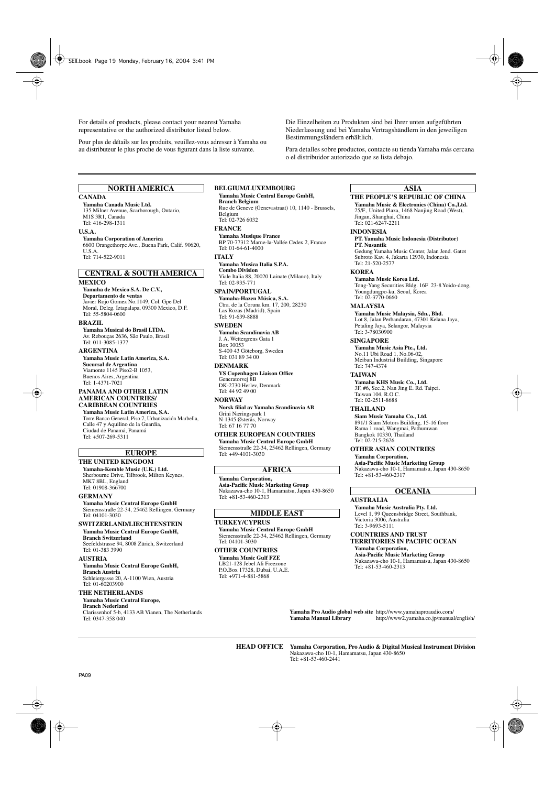For details of products, please contact your nearest Yamaha representative or the authorized distributor listed below.

Pour plus de détails sur les produits, veuillez-vous adresser à Yamaha ou au distributeur le plus proche de vous figurant dans la liste suivante.

Die Einzelheiten zu Produkten sind bei Ihrer unten aufgeführten Niederlassung und bei Yamaha Vertragshändlern in den jeweiligen Bestimmungsländern erhältlich.

Para detalles sobre productos, contacte su tienda Yamaha más cercana o el distribuidor autorizado que se lista debajo.

#### **NORTH AMERICA**

#### **CANADA**

**Yamaha Canada Music Ltd.** 135 Milner Avenue, Scarborough, Ontario, M<sub>1</sub>S 3R<sub>1</sub>, Canada Tel: 416-298-1311

#### **U.S.A.**

**Yamaha Corporation of America**  6600 Orangethorpe Ave., Buena Park, Calif. 90620, U.S.A. Tel: 714-522-9011

#### **MEXICO CENTRAL & SOUTH AMERICA**

**Yamaha de Mexico S.A. De C.V., Departamento de ventas** Javier Rojo Gomez No.1149, Col. Gpe Del Moral, Deleg. Iztapalapa, 09300 Mexico, D.F. Tel: 55-5804-0600

#### **BRAZIL**

**Yamaha Musical do Brasil LTDA.** Av. Rebouças 2636, São Paulo, Brasil Tel: 011-3085-1377

#### **ARGENTINA**

**Yamaha Music Latin America, S.A. Sucursal de Argentina** Viamonte 1145 Piso2-B 1053, Buenos Aires, Argentina Tel: 1-4371-7021

#### **PANAMA AND OTHER LATIN AMERICAN COUNTRIES/ CARIBBEAN COUNTRIES**

**Yamaha Music Latin America, S.A.** Torre Banco General, Piso 7, Urbanización Marbella, Calle 47 y Aquilino de la Guardia, Ciudad de Panamá, Panamá Tel: +507-269-5311

#### **EUROPE**

**THE UNITED KINGDOM Yamaha-Kemble Music (U.K.) Ltd.** Sherbourne Drive, Tilbrook, Milton Keynes, MK7 8BL, England Tel: 01908-366700

#### **GERMANY**

**Yamaha Music Central Europe GmbH** Siemensstraße 22-34, 25462 Rellingen, Germany Tel: 04101-3030

#### **SWITZERLAND/LIECHTENSTEIN Yamaha Music Central Europe GmbH, Branch Switzerland**

Seefeldstrasse 94, 8008 Zürich, Switzerland Tel: 01-383 3990

#### **AUSTRIA**

**Yamaha Music Central Europe GmbH, Branch Austria** Schleiergasse 20, A-1100 Wien, Austria Tel: 01-60203900

#### **THE NETHERLANDS**

**Yamaha Music Central Europe,** 

#### **Branch Nederland**

Clarissenhof 5-b, 4133 AB Vianen, The Netherlands Tel: 0347-358 040

#### **BELGIUM/LUXEMBOURG**

#### **Yamaha Music Central Europe GmbH, Branch Belgium**

Rue de Geneve (Genevastraat) 10, 1140 - Brussels, Belgium Tel: 02-726 6032

#### **FRANCE**

**Yamaha Musique France**  BP 70-77312 Marne-la-Vallée Cedex 2, France Tel: 01-64-61-4000

#### **ITALY**

**Yamaha Musica Italia S.P.A. Combo Division**

Viale Italia 88, 20020 Lainate (Milano), Italy Tel: 02-935-771

#### **SPAIN/PORTUGAL**

**Yamaha-Hazen Música, S.A.** Ctra. de la Coruna km. 17, 200, 28230 Las Rozas (Madrid), Spain Tel: 91-639-8888

#### **SWEDEN**

**Yamaha Scandinavia AB** J. A. Wettergrens Gata 1 Box 30053 S-400 43 Göteborg, Sweden Tel: 031 89 34 00

#### **DENMARK**

**YS Copenhagen Liaison Office** Generatorvej 8B DK-2730 Herlev, Denmark Tel: 44 92 49 00

#### **NORWAY**

**Norsk filial av Yamaha Scandinavia AB**  Grini Næringspark 1 N-1345 Østerås, Norway Tel: 67 16 77 70

#### **OTHER EUROPEAN COUNTRIES**

**Yamaha Music Central Europe GmbH** Siemensstraße 22-34, 25462 Rellingen, Germany Tel: +49-4101-3030

#### **AFRICA**

**Yamaha Corporation, Asia-Pacific Music Marketing Group** Nakazawa-cho 10-1, Hamamatsu, Japan 430-8650  $Tel: +81-53-460-2313$ 

#### **MIDDLE EAST**

#### **TURKEY/CYPRUS**

**Yamaha Music Central Europe GmbH** Siemensstraße 22-34, 25462 Rellingen, Germany Tel: 04101-3030

#### **OTHER COUNTRIES**

**Yamaha Music Gulf FZE** LB21-128 Jebel Ali Freezone P.O.Box 17328, Dubai, U.A.E. Tel: +971-4-881-5868

#### **ASIA**

#### **THE PEOPLE'S REPUBLIC OF CHINA**

**Yamaha Music & Electronics (China) Co.,Ltd.** 25/F., United Plaza, 1468 Nanjing Road (West), Jingan, Shanghai, China Tel: 021-6247-2211

#### **INDONESIA**

#### **PT. Yamaha Music Indonesia (Distributor) PT. Nusantik**

Gedung Yamaha Music Center, Jalan Jend. Gatot Subroto Kav. 4, Jakarta 12930, Indonesia Tel: 21-520-2577

#### **KOREA**

**Yamaha Music Korea Ltd.** Tong-Yang Securities Bldg. 16F 23-8 Yoido-dong, Youngdungpo-ku, Seoul, Korea Tel: 02-3770-0660

#### **MALAYSIA**

**Yamaha Music Malaysia, Sdn., Bhd.** Lot 8, Jalan Perbandaran, 47301 Kelana Jaya, Petaling Jaya, Selangor, Malaysia Tel: 3-78030900

#### **SINGAPORE**

**Yamaha Music Asia Pte., Ltd.**

No.11 Ubi Road 1, No.06-02, Meiban Industrial Building, Singapore Tel: 747-4374

#### **TAIWAN**

**Yamaha KHS Music Co., Ltd.**  3F, #6, Sec.2, Nan Jing E. Rd. Taipei. Taiwan 104, R.O.C. Tel: 02-2511-8688

#### **THAILAND**

**Siam Music Yamaha Co., Ltd.** 891/1 Siam Motors Building, 15-16 floor Rama 1 road, Wangmai, Pathumwan Bangkok 10330, Thailand Tel: 02-215-2626

#### **OTHER ASIAN COUNTRIES Yamaha Corporation,**

**Asia-Pacific Music Marketing Group** Nakazawa-cho 10-1, Hamamatsu, Japan 430-8650 Tel: +81-53-460-2317

#### **OCEANIA**

#### **AUSTRALIA**

**Yamaha Music Australia Pty. Ltd.** Level 1, 99 Queensbridge Street, Southbank, Victoria 3006, Australia Tel: 3-9693-5111

#### **COUNTRIES AND TRUST TERRITORIES IN PACIFIC OCEAN Yamaha Corporation,**

**Asia-Pacific Music Marketing Group** Nakazawa-cho 10-1, Hamamatsu, Japan 430-8650 Tel: +81-53-460-2313

**Yamaha Pro Audio global web site** http://www.yamahaproaudio.com/ **Yamaha Manual Library** http://www2.yamaha.co.jp/manual/english/